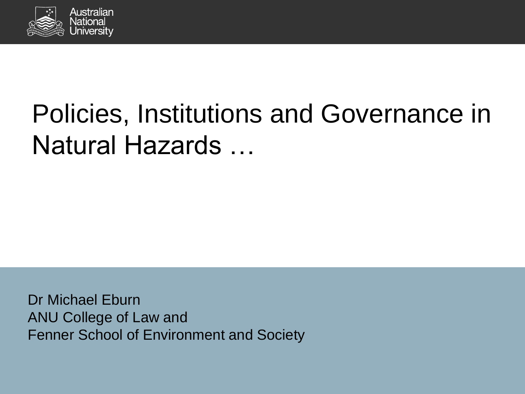

# Policies, Institutions and Governance in Natural Hazards …

Dr Michael Eburn ANU College of Law and Fenner School of Environment and Society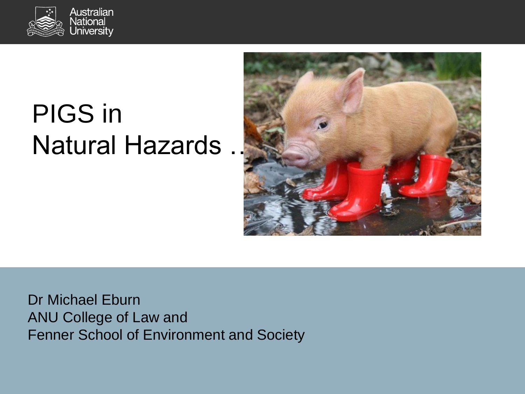

# PIGS in **Natural Hazards**



Dr Michael Eburn ANU College of Law and Fenner School of Environment and Society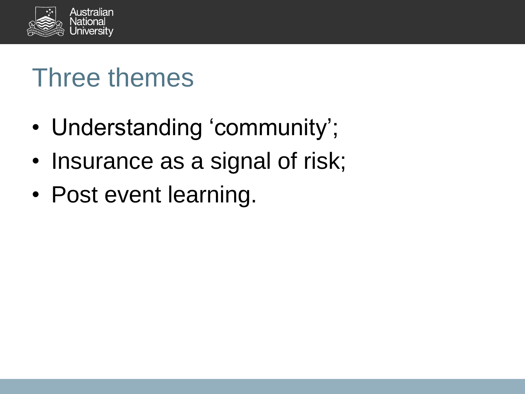

### Three themes

- Understanding 'community';
- Insurance as a signal of risk;
- Post event learning.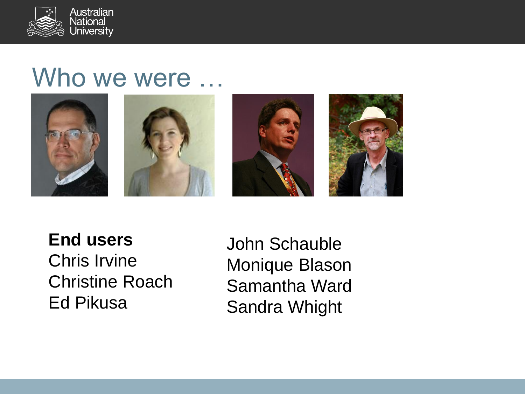

### Who we were ...









#### **End users** Chris Irvine Christine Roach Ed Pikusa

John Schauble Monique Blason Samantha Ward Sandra Whight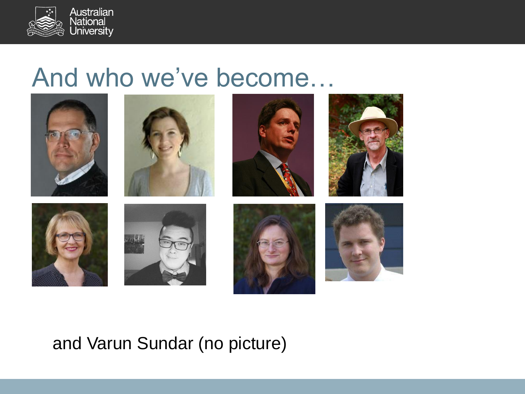

### And who we've become…



#### and Varun Sundar (no picture)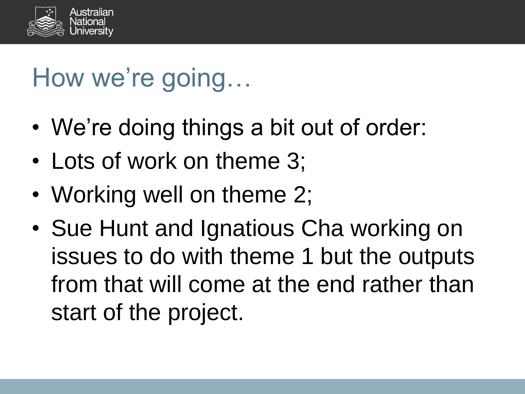

# How we're going…

- We're doing things a bit out of order:
- Lots of work on theme 3;
- Working well on theme 2;
- Sue Hunt and Ignatious Cha working on issues to do with theme 1 but the outputs from that will come at the end rather than start of the project.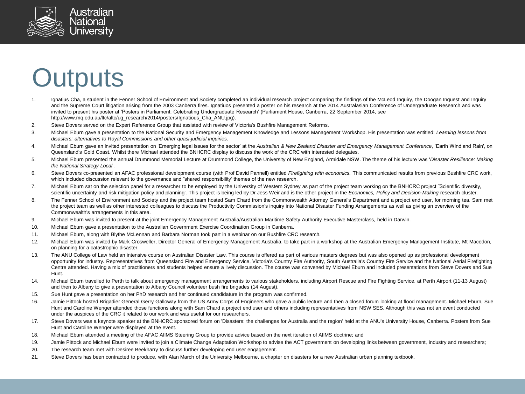

### **Outputs**

- 1. Ignatius Cha, a student in the Fenner School of Environment and Society completed an individual research project comparing the findings of the McLeod Inquiry, the Doogan Inquest and Inquiry and the Supreme Court litigation arising from the 2003 Canberra fires. Ignatiuos presented a poster on his research at the 2014 Australasian Conference of Undergraduate Research and was invited to present his poster at 'Posters in Parliament: Celebrating Undergraduate Research' (Parliament House, Canberra, 22 September 2014, see http://www.mq.edu.au/ltc/altc/ug\_research/2014/posters/Ignatious\_Cha\_ANU.jpg).
- 2. Steve Dovers served on the Expert Reference Group that assisted with review of Victoria's Bushfire Management Reforms.
- 3. Michael Eburn gave a presentation to the National Security and Emergency Management Knowledge and Lessons Management Workshop. His presentation was entitled: *Learning lessons from disasters: alternatives to Royal Commissions and other quasi-judicial inquiries*.
- 4. Michael Eburn gave an invited presentation on 'Emerging legal issues for the sector' at the *Australian & New Zealand Disaster and Emergency Management Conference*, 'Earth Wind and Rain', on Queensland's Gold Coast. Whilst there Michael attended the BNHCRC display to discuss the work of the CRC with interested delegates.
- 5. Michael Eburn presented the annual Drummond Memorial Lecture at Drummond College, the University of New England, Armidale NSW. The theme of his lecture was '*Disaster Resilience: Making the National Strategy Local*'.
- 6. Steve Dovers co-presented an AFAC professional development course (with Prof David Pannell) entitled *Firefighting with economics.* This communicated results from previous Bushfire CRC work, which included discussion relevant to the governance and "shared responsibility' themes of the new research.
- 7. Michael Eburn sat on the selection panel for a researcher to be employed by the University of Western Sydney as part of the project team working on the BNHCRC project "Scientific diversity, scientific uncertainty and risk mitigation policy and planning'. This project is being led by Dr Jess Weir and is the other project in the *Economics, Policy and Decision-Making* research cluster.
- 8. The Fenner School of Environment and Society and the project team hosted Sam Chard from the Commonwealth Attorney General's Department and a project end user, for morning tea. Sam met the project team as well as other interested colleagues to discuss the Productivity Commission's inquiry into National Disaster Funding Arrangements as well as giving an overview of the Commonwealth's arrangements in this area.
- 9. Michael Eburn was invited to present at the joint Emergency Management Australia/Australian Maritime Safety Authority Executive Masterclass, held in Darwin.
- 10. Michael Eburn gave a presentation to the Australian Government Exercise Coordination Group in Canberra.
- 11. Michael Eburn, along with Blythe McLennan and Barbara Norman took part in a webinar on our Bushfire CRC research.
- 12. Michael Eburn was invited by Mark Crosweller, Director General of Emergency Management Australia, to take part in a workshop at the Australian Emergency Management Institute, Mt Macedon, on planning for a catastrophic disaster.
- 13. The ANU College of Law held an intensive course on Australian Disaster Law. This course is offered as part of various masters degrees but was also opened up as professional development opportunity for industry. Representatives from Queensland Fire and Emergency Service, Victoria's Country Fire Authority, South Australia's Country Fire Service and the National Aerial Firefighting Centre attended. Having a mix of practitioners and students helped ensure a lively discussion. The course was convened by Michael Eburn and included presentations from Steve Dovers and Sue Hunt.
- 14. Michael Eburn travelled to Perth to talk about emergency management arrangements to various stakeholders, including Airport Rescue and Fire Fighting Service, at Perth Airport (11-13 August) and then to Albany to give a presentation to Albany Council volunteer bush fire brigades (14 August).
- 15. Sue Hunt gave a presentation on her PhD research and her continued candidature in the program was confirmed.
- 16. Jamie Pittock hosted Brigadier General Gerry Galloway from the US Army Corps of Engineers who gave a public lecture and then a closed forum looking at flood management. Michael Eburn, Sue Hunt and Caroline Wenger attended those functions along with Sam Chard a project end user and others including representatives from NSW SES. Although this was not an event conducted under the auspices of the CRC it related to our work and was useful for our researchers.
- 17. Steve Dovers was a keynote speaker at the BNHCRC sponsored forum on 'Disasters: the challenges for Australia and the region' held at the ANU's University House, Canberra. Posters from Sue Hunt and Caroline Wenger were displayed at the event.
- 18. Michael Eburn attended a meeting of the AFAC AIIMS Steering Group to provide advice based on the next iteration of AIIMS doctrine; and
- 19. Jamie Pittock and Michael Eburn were invited to join a Climate Change Adaptation Workshop to advise the ACT government on developing links between government, industry and researchers;
- 20. The research team met with Desiree Beekharry to discuss further developing end user engagement.
- 21. Steve Dovers has been contracted to produce, with Alan March of the University Melbourne, a chapter on disasters for a new Australian urban planning textbook.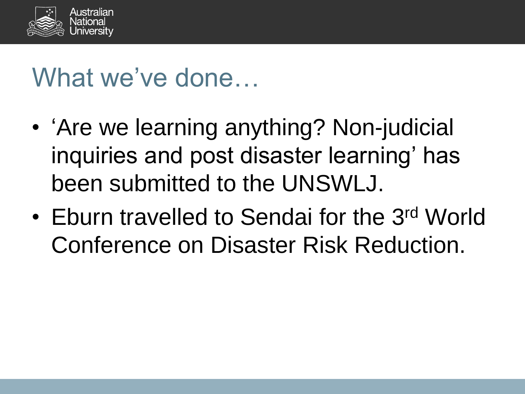

## What we've done…

- 'Are we learning anything? Non-judicial inquiries and post disaster learning' has been submitted to the UNSWLJ.
- Eburn travelled to Sendai for the 3<sup>rd</sup> World Conference on Disaster Risk Reduction.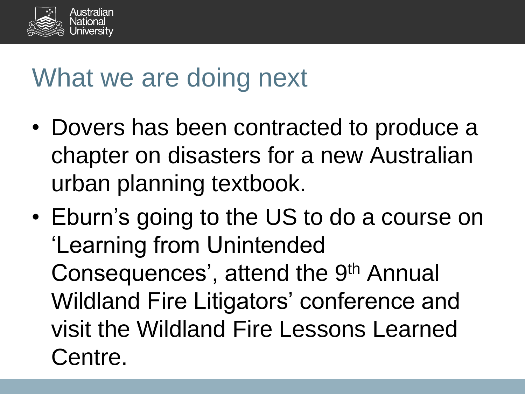

### What we are doing next

- Dovers has been contracted to produce a chapter on disasters for a new Australian urban planning textbook.
- Eburn's going to the US to do a course on 'Learning from Unintended Consequences', attend the 9<sup>th</sup> Annual Wildland Fire Litigators' conference and visit the Wildland Fire Lessons Learned Centre.